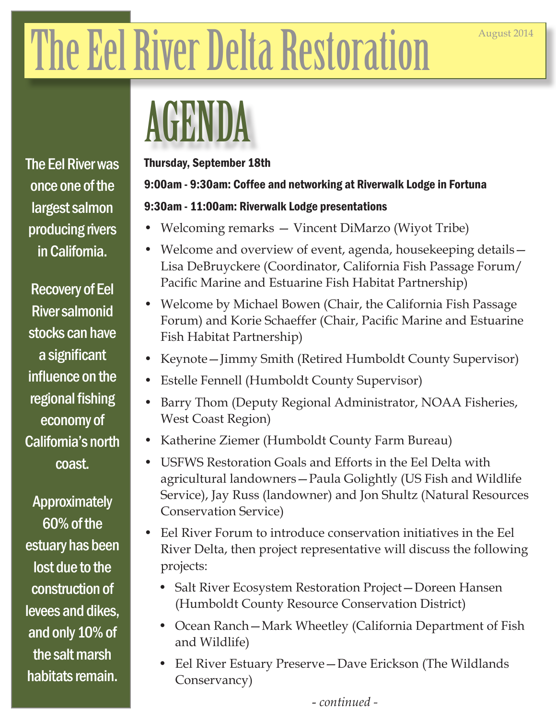# The Eel River Delta Restoration

### AGENDA

The Eel River was once one of the largest salmon producing rivers in California.

Recovery of Eel River salmonid stocks can have a significant influence on the regional fishing economy of California's north coast.

Approximately 60% of the estuary has been lost due to the construction of levees and dikes, and only 10% of the salt marsh habitats remain.

#### Thursday, September 18th

#### 9:00am - 9:30am: Coffee and networking at Riverwalk Lodge in Fortuna

#### 9:30am - 11:00am: Riverwalk Lodge presentations

- Welcoming remarks Vincent DiMarzo (Wiyot Tribe)
- Welcome and overview of event, agenda, housekeeping details Lisa DeBruyckere (Coordinator, California Fish Passage Forum/ Pacific Marine and Estuarine Fish Habitat Partnership)
- Welcome by Michael Bowen (Chair, the California Fish Passage Forum) and Korie Schaeffer (Chair, Pacific Marine and Estuarine Fish Habitat Partnership)
- Keynote—Jimmy Smith (Retired Humboldt County Supervisor)
- Estelle Fennell (Humboldt County Supervisor)
- Barry Thom (Deputy Regional Administrator, NOAA Fisheries, West Coast Region)
- Katherine Ziemer (Humboldt County Farm Bureau)
- USFWS Restoration Goals and Efforts in the Eel Delta with agricultural landowners—Paula Golightly (US Fish and Wildlife Service), Jay Russ (landowner) and Jon Shultz (Natural Resources Conservation Service)
- Eel River Forum to introduce conservation initiatives in the Eel River Delta, then project representative will discuss the following projects:
	- Salt River Ecosystem Restoration Project—Doreen Hansen (Humboldt County Resource Conservation District)
	- Ocean Ranch—Mark Wheetley (California Department of Fish and Wildlife)
	- Eel River Estuary Preserve—Dave Erickson (The Wildlands Conservancy)